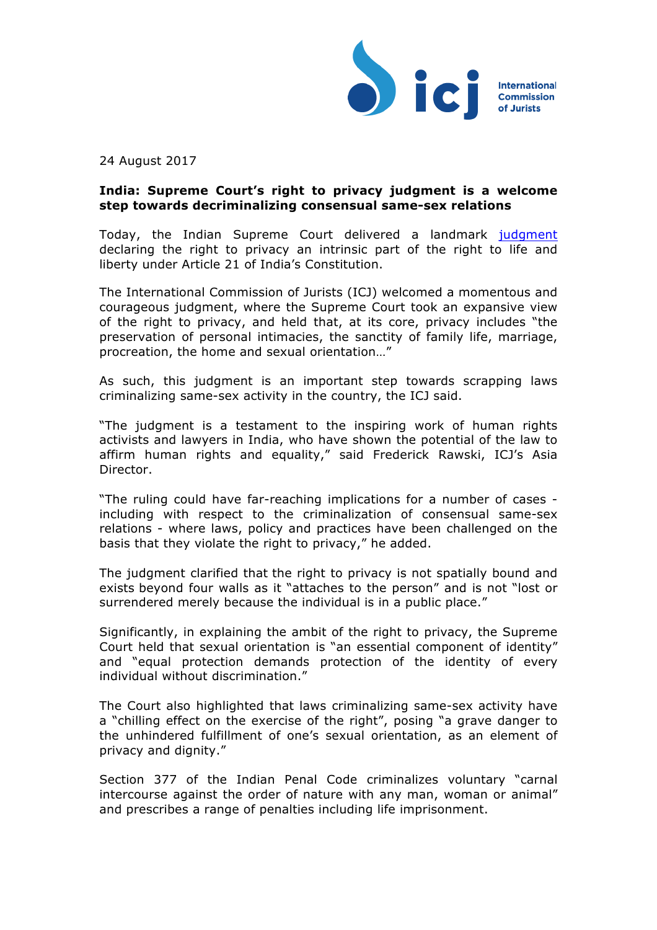

24 August 2017

## **India: Supreme Court's right to privacy judgment is a welcome step towards decriminalizing consensual same-sex relations**

Today, the Indian Supreme Court delivered a landmark [judgment](http://supremecourtofindia.nic.in/pdf/LU/ALL WP(C) No.494 of 2012 Right to Privacy.pdf) declaring the right to privacy an intrinsic part of the right to life and liberty under Article 21 of India's Constitution.

The International Commission of Jurists (ICJ) welcomed a momentous and courageous judgment, where the Supreme Court took an expansive view of the right to privacy, and held that, at its core, privacy includes "the preservation of personal intimacies, the sanctity of family life, marriage, procreation, the home and sexual orientation…"

As such, this judgment is an important step towards scrapping laws criminalizing same-sex activity in the country, the ICJ said.

"The judgment is a testament to the inspiring work of human rights activists and lawyers in India, who have shown the potential of the law to affirm human rights and equality," said Frederick Rawski, ICJ's Asia Director.

"The ruling could have far-reaching implications for a number of cases including with respect to the criminalization of consensual same-sex relations - where laws, policy and practices have been challenged on the basis that they violate the right to privacy," he added.

The judgment clarified that the right to privacy is not spatially bound and exists beyond four walls as it "attaches to the person" and is not "lost or surrendered merely because the individual is in a public place."

Significantly, in explaining the ambit of the right to privacy, the Supreme Court held that sexual orientation is "an essential component of identity" and "equal protection demands protection of the identity of every individual without discrimination."

The Court also highlighted that laws criminalizing same-sex activity have a "chilling effect on the exercise of the right", posing "a grave danger to the unhindered fulfillment of one's sexual orientation, as an element of privacy and dignity."

Section 377 of the Indian Penal Code criminalizes voluntary "carnal intercourse against the order of nature with any man, woman or animal" and prescribes a range of penalties including life imprisonment.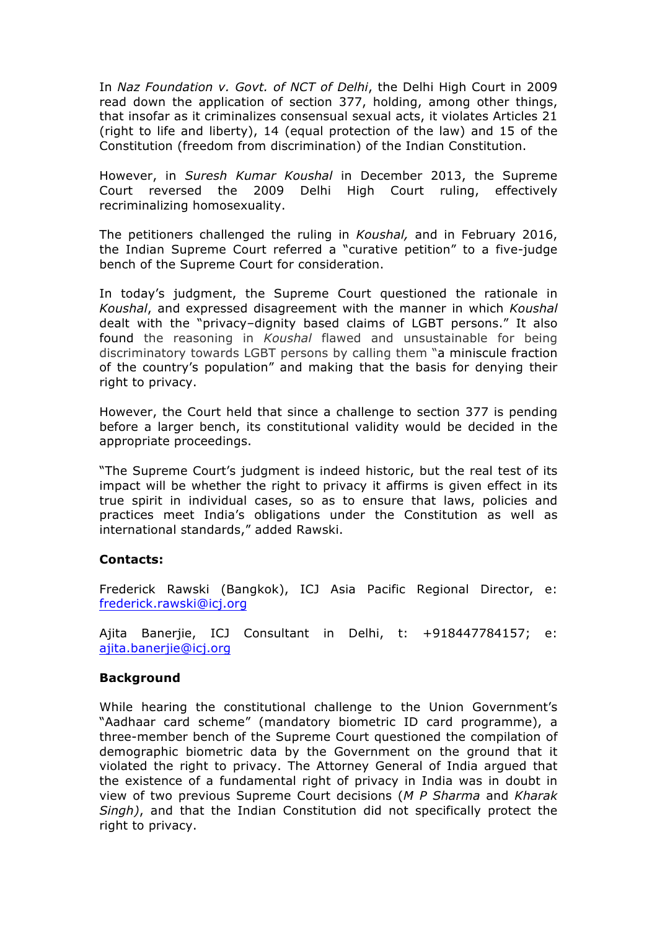In *Naz Foundation v. Govt. of NCT of Delhi*, the Delhi High Court in 2009 read down the application of section 377, holding, among other things, that insofar as it criminalizes consensual sexual acts, it violates Articles 21 (right to life and liberty), 14 (equal protection of the law) and 15 of the Constitution (freedom from discrimination) of the Indian Constitution.

However, in *Suresh Kumar Koushal* in December 2013, the Supreme Court reversed the 2009 Delhi High Court ruling, effectively recriminalizing homosexuality.

The petitioners challenged the ruling in *Koushal,* and in February 2016, the Indian Supreme Court referred a "curative petition" to a five-judge bench of the Supreme Court for consideration.

In today's judgment, the Supreme Court questioned the rationale in *Koushal*, and expressed disagreement with the manner in which *Koushal* dealt with the "privacy–dignity based claims of LGBT persons." It also found the reasoning in *Koushal* flawed and unsustainable for being discriminatory towards LGBT persons by calling them "a miniscule fraction of the country's population" and making that the basis for denying their right to privacy.

However, the Court held that since a challenge to section 377 is pending before a larger bench, its constitutional validity would be decided in the appropriate proceedings.

"The Supreme Court's judgment is indeed historic, but the real test of its impact will be whether the right to privacy it affirms is given effect in its true spirit in individual cases, so as to ensure that laws, policies and practices meet India's obligations under the Constitution as well as international standards," added Rawski.

## **Contacts:**

Frederick Rawski (Bangkok), ICJ Asia Pacific Regional Director, e: frederick.rawski@icj.org

Ajita Banerjie, ICJ Consultant in Delhi, t: +918447784157; e: ajita.banerjie@icj.org

## **Background**

While hearing the constitutional challenge to the Union Government's "Aadhaar card scheme" (mandatory biometric ID card programme), a three-member bench of the Supreme Court questioned the compilation of demographic biometric data by the Government on the ground that it violated the right to privacy. The Attorney General of India argued that the existence of a fundamental right of privacy in India was in doubt in view of two previous Supreme Court decisions (*M P Sharma* and *Kharak Singh)*, and that the Indian Constitution did not specifically protect the right to privacy.